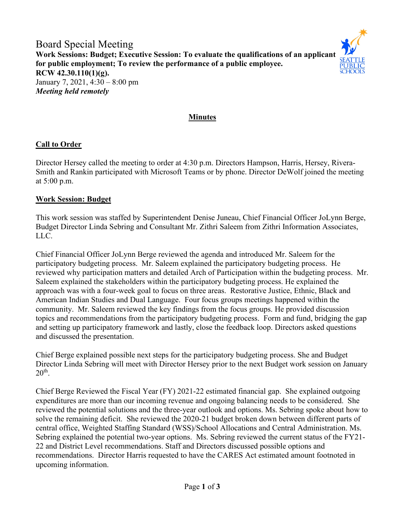Board Special Meeting **Work Sessions: Budget; Executive Session: To evaluate the qualifications of an applicant for public employment; To review the performance of a public employee. RCW 42.30.110(1)(g).** January 7, 2021, 4:30 – 8:00 pm *Meeting held remotely*



#### **Minutes**

### **Call to Order**

Director Hersey called the meeting to order at 4:30 p.m. Directors Hampson, Harris, Hersey, Rivera-Smith and Rankin participated with Microsoft Teams or by phone. Director DeWolf joined the meeting at 5:00 p.m.

#### **Work Session: Budget**

This work session was staffed by Superintendent Denise Juneau, Chief Financial Officer JoLynn Berge, Budget Director Linda Sebring and Consultant Mr. Zithri Saleem from Zithri Information Associates, LLC.

Chief Financial Officer JoLynn Berge reviewed the agenda and introduced Mr. Saleem for the participatory budgeting process. Mr. Saleem explained the participatory budgeting process. He reviewed why participation matters and detailed Arch of Participation within the budgeting process. Mr. Saleem explained the stakeholders within the participatory budgeting process. He explained the approach was with a four-week goal to focus on three areas. Restorative Justice, Ethnic, Black and American Indian Studies and Dual Language. Four focus groups meetings happened within the community. Mr. Saleem reviewed the key findings from the focus groups. He provided discussion topics and recommendations from the participatory budgeting process. Form and fund, bridging the gap and setting up participatory framework and lastly, close the feedback loop. Directors asked questions and discussed the presentation.

Chief Berge explained possible next steps for the participatory budgeting process. She and Budget Director Linda Sebring will meet with Director Hersey prior to the next Budget work session on January  $20<sup>th</sup>$ .

Chief Berge Reviewed the Fiscal Year (FY) 2021-22 estimated financial gap. She explained outgoing expenditures are more than our incoming revenue and ongoing balancing needs to be considered. She reviewed the potential solutions and the three-year outlook and options. Ms. Sebring spoke about how to solve the remaining deficit. She reviewed the 2020-21 budget broken down between different parts of central office, Weighted Staffing Standard (WSS)/School Allocations and Central Administration. Ms. Sebring explained the potential two-year options. Ms. Sebring reviewed the current status of the FY21- 22 and District Level recommendations. Staff and Directors discussed possible options and recommendations. Director Harris requested to have the CARES Act estimated amount footnoted in upcoming information.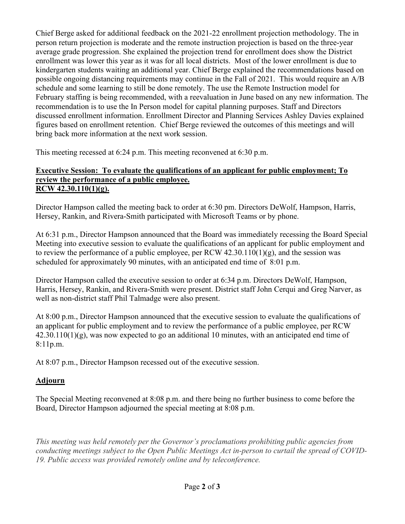Chief Berge asked for additional feedback on the 2021-22 enrollment projection methodology. The in person return projection is moderate and the remote instruction projection is based on the three-year average grade progression. She explained the projection trend for enrollment does show the District enrollment was lower this year as it was for all local districts. Most of the lower enrollment is due to kindergarten students waiting an additional year. Chief Berge explained the recommendations based on possible ongoing distancing requirements may continue in the Fall of 2021. This would require an A/B schedule and some learning to still be done remotely. The use the Remote Instruction model for February staffing is being recommended, with a reevaluation in June based on any new information. The recommendation is to use the In Person model for capital planning purposes. Staff and Directors discussed enrollment information. Enrollment Director and Planning Services Ashley Davies explained figures based on enrollment retention. Chief Berge reviewed the outcomes of this meetings and will bring back more information at the next work session.

This meeting recessed at 6:24 p.m. This meeting reconvened at 6:30 p.m.

### **Executive Session: To evaluate the qualifications of an applicant for public employment; To review the performance of a public employee. RCW 42.30.110(1)(g).**

Director Hampson called the meeting back to order at 6:30 pm. Directors DeWolf, Hampson, Harris, Hersey, Rankin, and Rivera-Smith participated with Microsoft Teams or by phone.

At 6:31 p.m., Director Hampson announced that the Board was immediately recessing the Board Special Meeting into executive session to evaluate the qualifications of an applicant for public employment and to review the performance of a public employee, per RCW  $42.30.110(1)(g)$ , and the session was scheduled for approximately 90 minutes, with an anticipated end time of 8:01 p.m.

Director Hampson called the executive session to order at 6:34 p.m. Directors DeWolf, Hampson, Harris, Hersey, Rankin, and Rivera-Smith were present. District staff John Cerqui and Greg Narver, as well as non-district staff Phil Talmadge were also present.

At 8:00 p.m., Director Hampson announced that the executive session to evaluate the qualifications of an applicant for public employment and to review the performance of a public employee, per RCW  $42.30.110(1)(g)$ , was now expected to go an additional 10 minutes, with an anticipated end time of 8:11p.m.

At 8:07 p.m., Director Hampson recessed out of the executive session.

# **Adjourn**

The Special Meeting reconvened at 8:08 p.m. and there being no further business to come before the Board, Director Hampson adjourned the special meeting at 8:08 p.m.

*This meeting was held remotely per the Governor's proclamations prohibiting public agencies from conducting meetings subject to the Open Public Meetings Act in-person to curtail the spread of COVID-19. Public access was provided remotely online and by teleconference.*